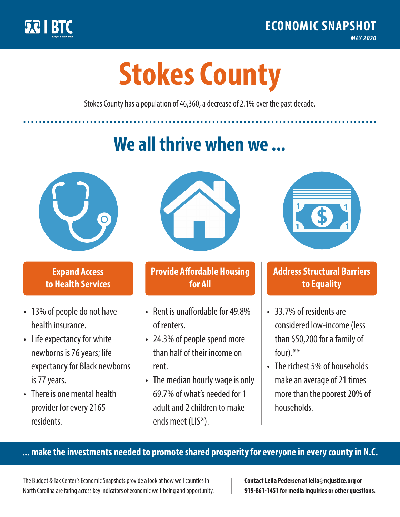

**1**

# **Stokes County**

Stokes County has a population of 46,360, a decrease of 2.1% over the past decade.

# **We all thrive when we ...**



**\$ <sup>1</sup>**

**\$ <sup>1</sup>**

## **Expand Access to Health Services**

- 13% of people do not have health insurance.
- Life expectancy for white newborns is 76 years; life expectancy for Black newborns is 77 years.
- There is one mental health provider for every 2165 residents.



## **Provide Affordable Housing for All**

- Rent is unaffordable for 49.8% of renters.
- 24.3% of people spend more than half of their income on rent.
- The median hourly wage is only 69.7% of what's needed for 1 adult and 2 children to make ends meet (LIS\*).



## **Address Structural Barriers to Equality**

- 33.7% of residents are considered low-income (less than \$50,200 for a family of four).\*\*
- The richest 5% of households make an average of 21 times more than the poorest 20% of households.

#### **... make the investments needed to promote shared prosperity for everyone in every county in N.C.**

The Budget & Tax Center's Economic Snapshots provide a look at how well counties in North Carolina are faring across key indicators of economic well-being and opportunity.